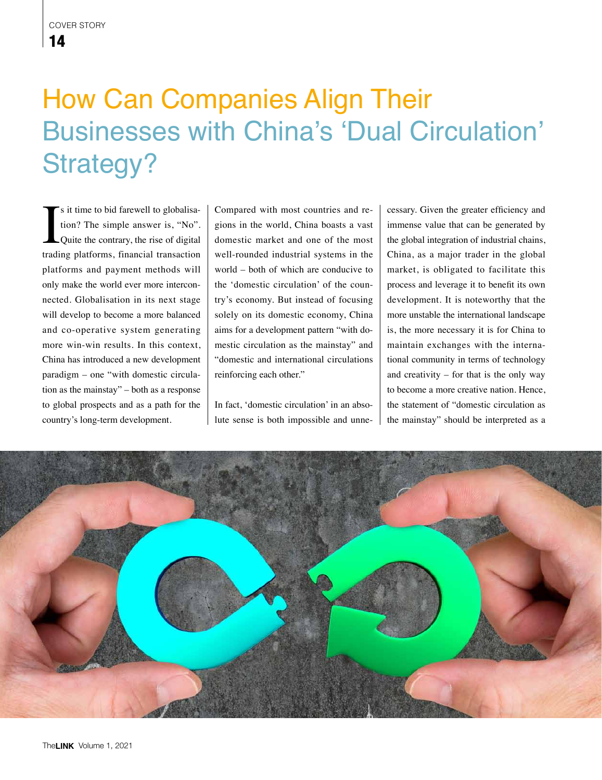## How Can Companies Align Their Businesses with China's 'Dual Circulation' Strategy?

I is it time to bid farewell to globalisation? The simple answer is, "No".<br>Quite the contrary, the rise of digital trading platforms, financial transaction s it time to bid farewell to globalisation? The simple answer is, "No". Quite the contrary, the rise of digital platforms and payment methods will only make the world ever more interconnected. Globalisation in its next stage will develop to become a more balanced and co-operative system generating more win-win results. In this context, China has introduced a new development paradigm – one "with domestic circulation as the mainstay" – both as a response to global prospects and as a path for the country's long-term development.

Compared with most countries and regions in the world, China boasts a vast domestic market and one of the most well-rounded industrial systems in the world – both of which are conducive to the 'domestic circulation' of the country's economy. But instead of focusing solely on its domestic economy, China aims for a development pattern "with domestic circulation as the mainstay" and "domestic and international circulations reinforcing each other."

In fact, 'domestic circulation' in an absolute sense is both impossible and unnecessary. Given the greater efficiency and immense value that can be generated by the global integration of industrial chains, China, as a major trader in the global market, is obligated to facilitate this process and leverage it to benefit its own development. It is noteworthy that the more unstable the international landscape is, the more necessary it is for China to maintain exchanges with the international community in terms of technology and creativity – for that is the only way to become a more creative nation. Hence, the statement of "domestic circulation as the mainstay" should be interpreted as a